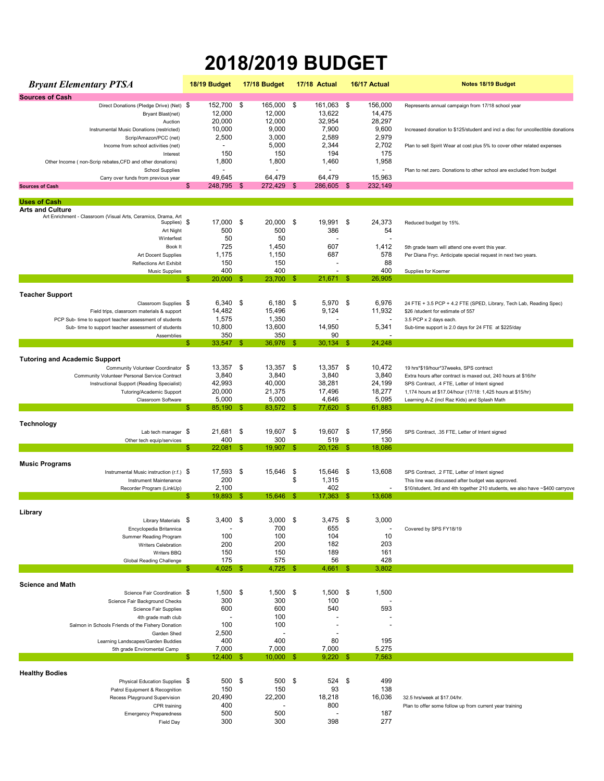## **2018/2019 BUDGET**

| <b>Bryant Elementary PTSA</b>                                                                                  | 18/19 Budget              | 17/18 Budget             |          | 17/18 Actual       |     | 16/17 Actual                      | Notes 18/19 Budget                                                                                           |
|----------------------------------------------------------------------------------------------------------------|---------------------------|--------------------------|----------|--------------------|-----|-----------------------------------|--------------------------------------------------------------------------------------------------------------|
| <b>Sources of Cash</b>                                                                                         |                           |                          |          |                    |     |                                   |                                                                                                              |
| Direct Donations (Pledge Drive) (Net) \$<br>Bryant Blast(net)                                                  | 152,700<br>12,000         | -\$<br>165,000<br>12,000 | \$       | 161,063<br>13,622  | \$  | 156,000<br>14,475                 | Represents annual campaign from 17/18 school year                                                            |
| Auction                                                                                                        | 20,000                    | 12,000                   |          | 32,954             |     | 28,297                            |                                                                                                              |
| Instrumental Music Donations (restricted)<br>Scrip/Amazon/PCC (net)                                            | 10,000<br>2,500           | 9,000<br>3,000           |          | 7,900<br>2,589     |     | 9,600<br>2,979                    | Increased donation to \$125/student and incl a disc for uncollectible donations                              |
| Income from school activities (net)                                                                            |                           | 5,000                    |          | 2,344              |     | 2,702                             | Plan to sell Spirit Wear at cost plus 5% to cover other related expenses                                     |
| Interest                                                                                                       | 150                       | 150                      |          | 194                |     | 175                               |                                                                                                              |
| Other Income (non-Scrip rebates, CFD and other donations)<br><b>School Supplies</b>                            | 1,800                     | 1,800                    |          | 1,460              |     | 1,958<br>$\overline{a}$           | Plan to net zero. Donations to other school are excluded from budget                                         |
| Carry over funds from previous year                                                                            | 49,645                    | 64.479                   |          | 64.479             |     | 15,963                            |                                                                                                              |
| <b>Sources of Cash</b>                                                                                         | 248,795 \$<br>\$          | 272,429                  | -\$      | 286,605 \$         |     | 232,149                           |                                                                                                              |
| <b>Uses of Cash</b>                                                                                            |                           |                          |          |                    |     |                                   |                                                                                                              |
| <b>Arts and Culture</b>                                                                                        |                           |                          |          |                    |     |                                   |                                                                                                              |
| Art Enrichment - Classroom (Visual Arts, Ceramics, Drama, Art<br>Supplies)                                     | \$<br>17,000              | \$<br>20,000             | \$       | 19,991             | \$  | 24,373                            | Reduced budget by 15%.                                                                                       |
| Art Night                                                                                                      | 500                       | 500                      |          | 386                |     | 54                                |                                                                                                              |
| Winterfest<br>Book It                                                                                          | 50<br>725                 | 50<br>1,450              |          | 607                |     | $\overline{\phantom{a}}$<br>1,412 | 5th grade team will attend one event this year.                                                              |
| Art Docent Supplies                                                                                            | 1,175                     | 1,150                    |          | 687                |     | 578                               | Per Diana Fryc. Anticipate special request in next two years.                                                |
| Reflections Art Exhibit                                                                                        | 150                       | 150                      |          |                    |     | 88                                |                                                                                                              |
| <b>Music Supplies</b>                                                                                          | 400<br>20.000<br>\$.      | 400<br>23,700<br>\$.     | - \$     | 21,671             | \$  | 400<br>26,905                     | Supplies for Koerner                                                                                         |
| <b>Teacher Support</b>                                                                                         |                           |                          |          |                    |     |                                   |                                                                                                              |
| Classroom Supplies \$                                                                                          | $6,340$ \$                | 6,180                    | -\$      | 5,970              | -\$ | 6,976                             | 24 FTE + 3.5 PCP + 4.2 FTE (SPED, Library, Tech Lab, Reading Spec)                                           |
| Field trips, classroom materials & support                                                                     | 14,482                    | 15,496                   |          | 9,124              |     | 11,932                            | \$26 /student for estimate of 557                                                                            |
| PCP Sub- time to support teacher assessment of students<br>Sub- time to support teacher assessment of students | 1,575<br>10,800           | 1,350<br>13,600          |          | 14,950             |     | $\overline{\phantom{a}}$<br>5,341 | 3.5 PCP x 2 days each.<br>Sub-time support is 2.0 days for 24 FTE at \$225/day                               |
| Assemblies                                                                                                     | 350                       | 350                      |          | 90                 |     |                                   |                                                                                                              |
|                                                                                                                | 33,547<br>\$.             | \$<br>36,976             | - \$     | $30,134$ \$        |     | 24,248                            |                                                                                                              |
| <b>Tutoring and Academic Support</b>                                                                           |                           |                          |          |                    |     |                                   |                                                                                                              |
| Community Volunteer Coordinator \$                                                                             | 13,357 \$                 | $13,357$ \$              |          | 13,357 \$          |     | 10,472                            | 19 hrs*\$19/hour*37weeks, SPS contract                                                                       |
| Community Volunteer Personal Service Contract                                                                  | 3,840                     | 3,840                    |          | 3,840              |     | 3,840                             | Extra hours after contract is maxed out, 240 hours at \$16/hr                                                |
| Instructional Support (Reading Specialist)<br>Tutoring/Academic Support                                        | 42,993<br>20,000          | 40,000<br>21,375         |          | 38,281<br>17,496   |     | 24,199<br>18,277                  | SPS Contract, .4 FTE, Letter of Intent signed<br>1,174 hours at \$17.04/hour (17/18: 1,425 hours at \$15/hr) |
| Classroom Software                                                                                             | 5,000                     | 5,000                    |          | 4,646              |     | 5,095                             | Learning A-Z (incl Raz Kids) and Splash Math                                                                 |
|                                                                                                                | 85,190<br>\$.             | 83,572<br>\$.            | -\$      | 77,620             | \$. | 61,883                            |                                                                                                              |
| Technology                                                                                                     |                           |                          |          |                    |     |                                   |                                                                                                              |
| Lab tech manager $$$                                                                                           | 21,681 \$                 | 19,607                   | \$       | 19,607 \$          |     | 17,956                            | SPS Contract, .35 FTE, Letter of Intent signed                                                               |
| Other tech equip/services                                                                                      | 400<br>$22,081$ \$<br>\$. | 300<br>19,907            | - \$     | 519<br>$20,126$ \$ |     | 130<br>18,086                     |                                                                                                              |
|                                                                                                                |                           |                          |          |                    |     |                                   |                                                                                                              |
| <b>Music Programs</b><br>Instrumental Music instruction (r.f.) \$                                              | 17,593                    | 15,646                   |          | 15,646             |     | 13,608                            |                                                                                                              |
| Instrument Maintenance                                                                                         | 200                       | \$                       | \$<br>\$ | 1,315              | -\$ |                                   | SPS Contract, .2 FTE, Letter of Intent signed<br>This line was discussed after budget was approved.          |
| Recorder Program (LinkUp)                                                                                      | 2,100                     |                          |          | 402                |     |                                   | \$10/student, 3rd and 4th together 210 students, we also have ~\$400 carryove                                |
|                                                                                                                | 19,893<br>\$.             | \$<br>15,646             | - \$     | $17,363$ \$        |     | 13,608                            |                                                                                                              |
| Library                                                                                                        |                           |                          |          |                    |     |                                   |                                                                                                              |
| Library Materials \$                                                                                           | 3,400                     | 3,000<br>Ψ               | P.       | 3,475              | P.  | 3,000                             |                                                                                                              |
| Encyclopedia Britannica                                                                                        | 100                       | 700<br>100               |          | 655<br>104         |     | $\overline{\phantom{a}}$<br>10    | Covered by SPS FY18/19                                                                                       |
| Summer Reading Program<br><b>Writers Celebration</b>                                                           | 200                       | 200                      |          | 182                |     | 203                               |                                                                                                              |
| Writers BBQ                                                                                                    | 150                       | 150                      |          | 189                |     | 161                               |                                                                                                              |
| <b>Global Reading Challenge</b>                                                                                | 175                       | 575                      |          | 56                 |     | 428                               |                                                                                                              |
|                                                                                                                | 4,025<br>\$               | 4,725<br>\$              | \$       | 4,661              | \$  | 3,802                             |                                                                                                              |
| <b>Science and Math</b>                                                                                        |                           |                          |          |                    |     |                                   |                                                                                                              |
| Science Fair Coordination \$<br>Science Fair Background Checks                                                 | 1,500<br>300              | 1,500<br>-\$<br>300      | \$       | $1,500$ \$<br>100  |     | 1,500                             |                                                                                                              |
| Science Fair Supplies                                                                                          | 600                       | 600                      |          | 540                |     | 593                               |                                                                                                              |
| 4th grade math club                                                                                            |                           | 100                      |          |                    |     |                                   |                                                                                                              |
| Salmon in Schools Friends of the Fishery Donation                                                              | 100                       | 100                      |          |                    |     |                                   |                                                                                                              |
| Garden Shed<br>Learning Landscapes/Garden Buddies                                                              | 2,500<br>400              | 400                      |          | ÷<br>80            |     | 195                               |                                                                                                              |
| 5th grade Enviromental Camp                                                                                    | 7,000                     | 7,000                    |          | 7,000              |     | 5,275                             |                                                                                                              |
|                                                                                                                | $12,400$ \$<br>\$.        | 10,000                   | -\$      | 9,220              | -\$ | 7,563                             |                                                                                                              |
| <b>Healthy Bodies</b>                                                                                          |                           |                          |          |                    |     |                                   |                                                                                                              |
| Physical Education Supplies \$                                                                                 | 500                       | \$<br>500                | \$       | 524                | \$  | 499                               |                                                                                                              |
| Patrol Equipment & Recognition                                                                                 | 150                       | 150                      |          | 93                 |     | 138                               |                                                                                                              |
| Recess Playground Supervision<br>CPR training                                                                  | 20,490<br>400             | 22,200                   |          | 18,218<br>800      |     | 16,036                            | 32.5 hrs/week at \$17.04/hr.<br>Plan to offer some follow up from current year training                      |
| <b>Emergency Preparedness</b>                                                                                  | 500                       | 500                      |          |                    |     | 187                               |                                                                                                              |
| <b>Field Day</b>                                                                                               | 300                       | 300                      |          | 398                |     | 277                               |                                                                                                              |